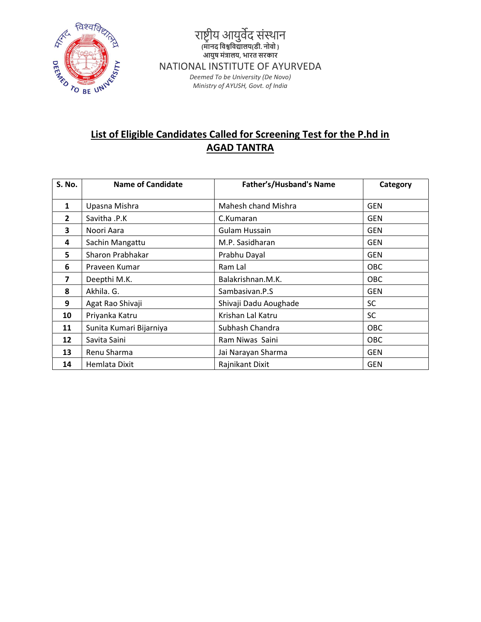

# List of Eligible Candidates Called for Screening Test for the P.hd in AGAD TANTRA

| <b>S. No.</b>           | <b>Name of Candidate</b> | <b>Father's/Husband's Name</b> | Category   |
|-------------------------|--------------------------|--------------------------------|------------|
| 1                       | Upasna Mishra            | Mahesh chand Mishra            | GEN        |
| $\overline{2}$          | Savitha .P.K             | C.Kumaran                      | <b>GEN</b> |
| 3                       | Noori Aara               | <b>Gulam Hussain</b>           | <b>GEN</b> |
| 4                       | Sachin Mangattu          | M.P. Sasidharan                | <b>GEN</b> |
| 5                       | Sharon Prabhakar         | Prabhu Dayal                   | <b>GEN</b> |
| 6                       | Praveen Kumar            | Ram Lal                        | <b>OBC</b> |
| $\overline{\mathbf{z}}$ | Deepthi M.K.             | Balakrishnan.M.K.              | <b>OBC</b> |
| 8                       | Akhila. G.               | Sambasivan.P.S                 | <b>GEN</b> |
| 9                       | Agat Rao Shivaji         | Shivaji Dadu Aoughade          | <b>SC</b>  |
| 10                      | Priyanka Katru           | Krishan Lal Katru              | <b>SC</b>  |
| 11                      | Sunita Kumari Bijarniya  | Subhash Chandra                | <b>OBC</b> |
| 12                      | Savita Saini             | Ram Niwas Saini                | <b>OBC</b> |
| 13                      | Renu Sharma              | Jai Narayan Sharma             | <b>GEN</b> |
| 14                      | Hemlata Dixit            | Rajnikant Dixit                | <b>GEN</b> |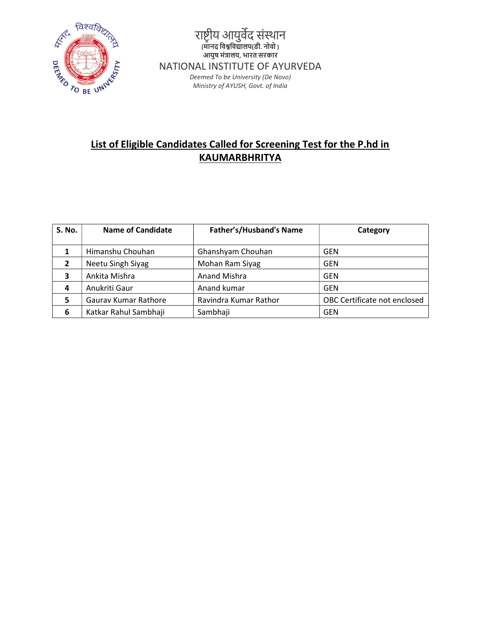

# List of Eligible Candidates Called for Screening Test for the P.hd in KAUMARBHRITYA

| <b>S. No.</b>  | <b>Name of Candidate</b> | <b>Father's/Husband's Name</b> | Category                     |
|----------------|--------------------------|--------------------------------|------------------------------|
|                | Himanshu Chouhan         | Ghanshyam Chouhan              | <b>GEN</b>                   |
| 2              | Neetu Singh Siyag        | Mohan Ram Siyag                | <b>GEN</b>                   |
| 3              | Ankita Mishra            | <b>Anand Mishra</b>            | <b>GEN</b>                   |
| $\overline{a}$ | Anukriti Gaur            | Anand kumar                    | <b>GEN</b>                   |
| 5              | Gaurav Kumar Rathore     | Ravindra Kumar Rathor          | OBC Certificate not enclosed |
| 6              | Katkar Rahul Sambhaji    | Sambhaji                       | GEN                          |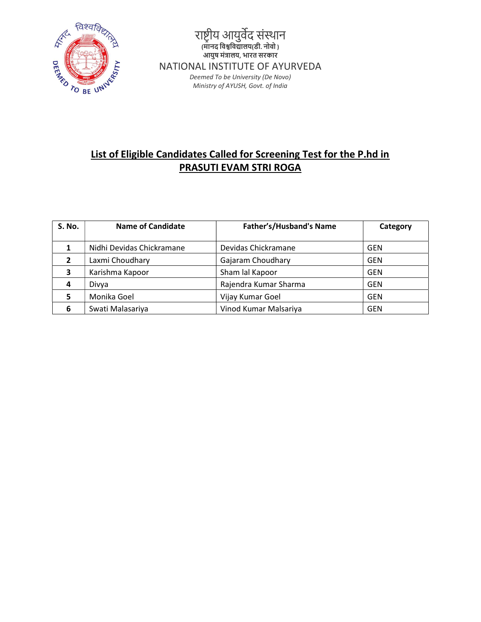

## List of Eligible Candidates Called for Screening Test for the P.hd in PRASUTI EVAM STRI ROGA

| <b>S. No.</b> | <b>Name of Candidate</b>  | Father's/Husband's Name | Category   |
|---------------|---------------------------|-------------------------|------------|
|               | Nidhi Devidas Chickramane | Devidas Chickramane     | <b>GEN</b> |
| 2             | Laxmi Choudhary           | Gajaram Choudhary       | <b>GEN</b> |
| 3             | Karishma Kapoor           | Sham lal Kapoor         | <b>GEN</b> |
| 4             | Divya                     | Rajendra Kumar Sharma   | <b>GEN</b> |
| 5             | Monika Goel               | Vijay Kumar Goel        | <b>GEN</b> |
| 6             | Swati Malasariya          | Vinod Kumar Malsariya   | <b>GEN</b> |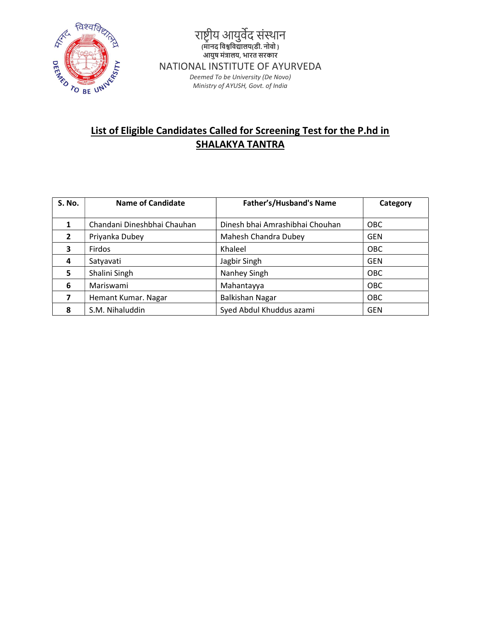

# List of Eligible Candidates Called for Screening Test for the P.hd in SHALAKYA TANTRA

| <b>S. No.</b>  | <b>Name of Candidate</b>    | <b>Father's/Husband's Name</b>  | Category   |
|----------------|-----------------------------|---------------------------------|------------|
|                |                             |                                 |            |
| 1              | Chandani Dineshbhai Chauhan | Dinesh bhai Amrashibhai Chouhan | <b>OBC</b> |
| $\overline{2}$ | Priyanka Dubey              | Mahesh Chandra Dubey            | <b>GEN</b> |
| 3              | Firdos                      | Khaleel                         | <b>OBC</b> |
| 4              | Satyavati                   | Jagbir Singh                    | <b>GEN</b> |
| 5              | Shalini Singh               | Nanhey Singh                    | <b>OBC</b> |
| 6              | Mariswami                   | Mahantayya                      | <b>OBC</b> |
|                | Hemant Kumar. Nagar         | <b>Balkishan Nagar</b>          | <b>OBC</b> |
| 8              | S.M. Nihaluddin             | Syed Abdul Khuddus azami        | <b>GEN</b> |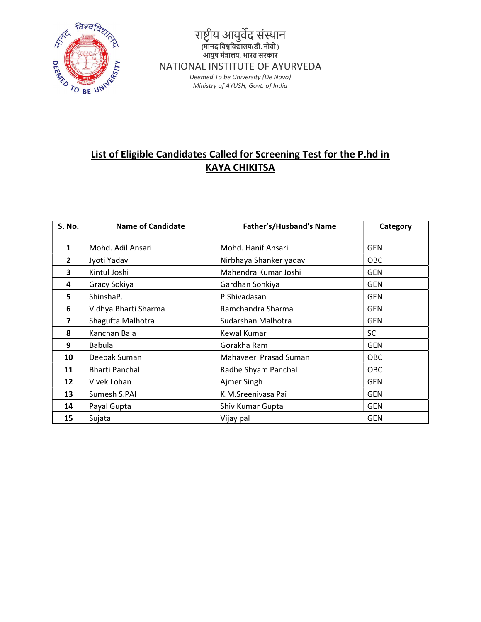

#### List of Eligible Candidates Called for Screening Test for the P.hd in KAYA CHIKITSA

| <b>S. No.</b> | <b>Name of Candidate</b> | <b>Father's/Husband's Name</b> | Category   |
|---------------|--------------------------|--------------------------------|------------|
| $\mathbf{1}$  | Mohd. Adil Ansari        | Mohd. Hanif Ansari             | <b>GEN</b> |
| $\mathbf{2}$  | Jyoti Yadav              | Nirbhaya Shanker yadav         | <b>OBC</b> |
| 3             | Kintul Joshi             | Mahendra Kumar Joshi           | <b>GEN</b> |
| 4             | Gracy Sokiya             | Gardhan Sonkiya                | <b>GEN</b> |
| 5             | ShinshaP.                | P.Shivadasan                   | <b>GEN</b> |
| 6             | Vidhya Bharti Sharma     | Ramchandra Sharma              | <b>GEN</b> |
| 7             | Shagufta Malhotra        | Sudarshan Malhotra             | <b>GEN</b> |
| 8             | Kanchan Bala             | Kewal Kumar                    | <b>SC</b>  |
| 9             | <b>Babulal</b>           | Gorakha Ram                    | <b>GEN</b> |
| 10            | Deepak Suman             | Mahaveer Prasad Suman          | <b>OBC</b> |
| 11            | <b>Bharti Panchal</b>    | Radhe Shyam Panchal            | <b>OBC</b> |
| 12            | Vivek Lohan              | Ajmer Singh                    | <b>GEN</b> |
| 13            | Sumesh S.PAI             | K.M.Sreenivasa Pai             | <b>GEN</b> |
| 14            | Payal Gupta              | Shiv Kumar Gupta               | <b>GEN</b> |
| 15            | Sujata                   | Vijay pal                      | <b>GEN</b> |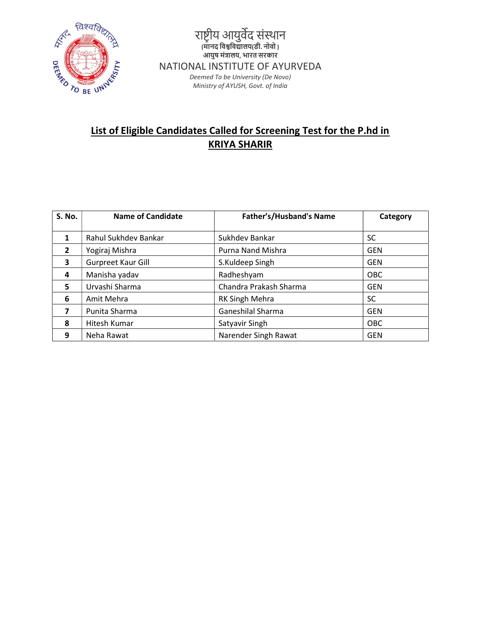

# List of Eligible Candidates Called for Screening Test for the P.hd in KRIYA SHARIR

| <b>S. No.</b>  | <b>Name of Candidate</b> | <b>Father's/Husband's Name</b> | Category   |
|----------------|--------------------------|--------------------------------|------------|
| 1              | Rahul Sukhdev Bankar     | Sukhdev Bankar                 | <b>SC</b>  |
| $\overline{2}$ | Yogiraj Mishra           | Purna Nand Mishra              | <b>GEN</b> |
| 3              | Gurpreet Kaur Gill       | S.Kuldeep Singh                | <b>GEN</b> |
| 4              | Manisha yadav            | Radheshyam                     | <b>OBC</b> |
| 5              | Urvashi Sharma           | Chandra Prakash Sharma         | <b>GEN</b> |
| 6              | Amit Mehra               | RK Singh Mehra                 | SC.        |
| 7              | Punita Sharma            | Ganeshilal Sharma              | <b>GEN</b> |
| 8              | Hitesh Kumar             | Satyavir Singh                 | OBC        |
| 9              | Neha Rawat               | Narender Singh Rawat           | <b>GEN</b> |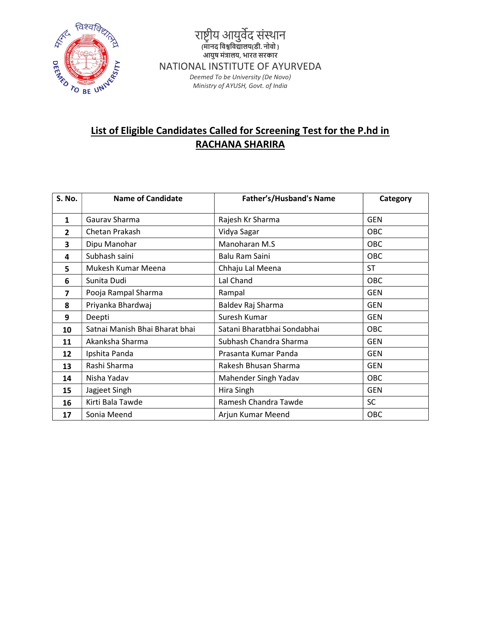

## List of Eligible Candidates Called for Screening Test for the P.hd in RACHANA SHARIRA

| S. No.       | <b>Name of Candidate</b>       | <b>Father's/Husband's Name</b> | Category   |
|--------------|--------------------------------|--------------------------------|------------|
| $\mathbf{1}$ | Gaurav Sharma                  | Rajesh Kr Sharma               | <b>GEN</b> |
| $\mathbf{2}$ | Chetan Prakash                 | Vidya Sagar                    | OBC        |
| 3            | Dipu Manohar                   | Manoharan M.S                  | OBC        |
| 4            | Subhash saini                  | Balu Ram Saini                 | OBC        |
| 5            | Mukesh Kumar Meena             | Chhaju Lal Meena               | <b>ST</b>  |
| 6            | Sunita Dudi                    | Lal Chand                      | OBC        |
| 7            | Pooja Rampal Sharma            | Rampal                         | <b>GEN</b> |
| 8            | Priyanka Bhardwaj              | Baldev Raj Sharma              | <b>GEN</b> |
| 9            | Deepti                         | Suresh Kumar                   | <b>GEN</b> |
| 10           | Satnai Manish Bhai Bharat bhai | Satani Bharatbhai Sondabhai    | OBC        |
| 11           | Akanksha Sharma                | Subhash Chandra Sharma         | <b>GEN</b> |
| 12           | Ipshita Panda                  | Prasanta Kumar Panda           | <b>GEN</b> |
| 13           | Rashi Sharma                   | Rakesh Bhusan Sharma           | <b>GEN</b> |
| 14           | Nisha Yadav                    | Mahender Singh Yadav           | <b>OBC</b> |
| 15           | Jagjeet Singh                  | Hira Singh                     | <b>GEN</b> |
| 16           | Kirti Bala Tawde               | Ramesh Chandra Tawde           | <b>SC</b>  |
| 17           | Sonia Meend                    | Arjun Kumar Meend              | OBC        |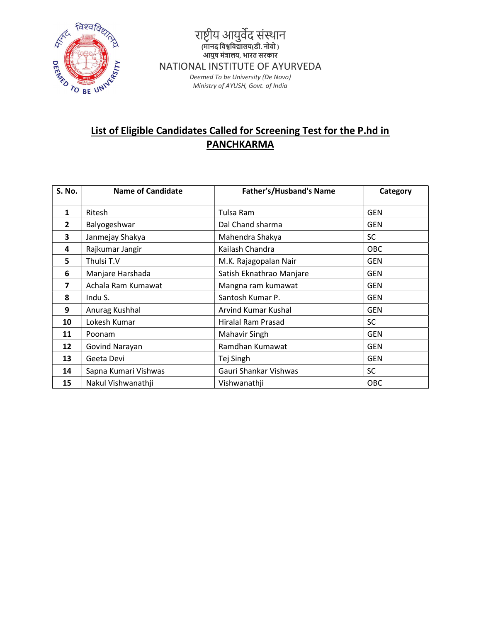

## List of Eligible Candidates Called for Screening Test for the P.hd in **PANCHKARMA**

| <b>S. No.</b>  | <b>Name of Candidate</b> | <b>Father's/Husband's Name</b> | Category   |
|----------------|--------------------------|--------------------------------|------------|
| 1              | Ritesh                   | Tulsa Ram                      | <b>GEN</b> |
| $\overline{2}$ | Balyogeshwar             | Dal Chand sharma               | <b>GEN</b> |
| 3              | Janmejay Shakya          | Mahendra Shakya                | <b>SC</b>  |
| 4              | Rajkumar Jangir          | Kailash Chandra                | <b>OBC</b> |
| 5              | Thulsi T.V               | M.K. Rajagopalan Nair          | <b>GEN</b> |
| 6              | Manjare Harshada         | Satish Eknathrao Manjare       | <b>GEN</b> |
| 7              | Achala Ram Kumawat       | Mangna ram kumawat             | <b>GEN</b> |
| 8              | Indu S.                  | Santosh Kumar P.               | <b>GEN</b> |
| 9              | Anurag Kushhal           | <b>Arvind Kumar Kushal</b>     | <b>GEN</b> |
| 10             | Lokesh Kumar             | Hiralal Ram Prasad             | <b>SC</b>  |
| 11             | Poonam                   | Mahavir Singh                  | <b>GEN</b> |
| 12             | Govind Narayan           | Ramdhan Kumawat                | <b>GEN</b> |
| 13             | Geeta Devi               | Tej Singh                      | <b>GEN</b> |
| 14             | Sapna Kumari Vishwas     | Gauri Shankar Vishwas          | <b>SC</b>  |
| 15             | Nakul Vishwanathji       | Vishwanathji                   | OBC        |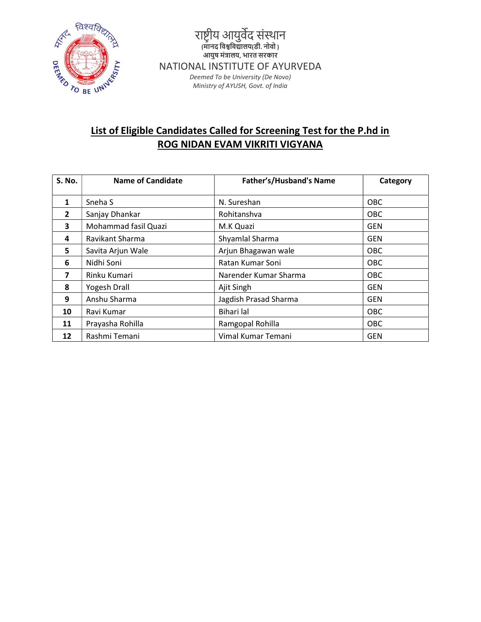

## List of Eligible Candidates Called for Screening Test for the P.hd in ROG NIDAN EVAM VIKRITI VIGYANA

| <b>S. No.</b>  | <b>Name of Candidate</b> | Father's/Husband's Name | Category   |
|----------------|--------------------------|-------------------------|------------|
| 1              | Sneha <sub>S</sub>       | N. Sureshan             | <b>OBC</b> |
| $\overline{2}$ | Sanjay Dhankar           | Rohitanshva             | <b>OBC</b> |
| 3              | Mohammad fasil Quazi     | M.K Quazi               | <b>GEN</b> |
| 4              | Ravikant Sharma          | Shyamlal Sharma         | <b>GEN</b> |
| 5              | Savita Arjun Wale        | Arjun Bhagawan wale     | <b>OBC</b> |
| 6              | Nidhi Soni               | Ratan Kumar Soni        | <b>OBC</b> |
| 7              | Rinku Kumari             | Narender Kumar Sharma   | <b>OBC</b> |
| 8              | Yogesh Drall             | Ajit Singh              | <b>GEN</b> |
| 9              | Anshu Sharma             | Jagdish Prasad Sharma   | <b>GEN</b> |
| 10             | Ravi Kumar               | Bihari lal              | <b>OBC</b> |
| 11             | Prayasha Rohilla         | Ramgopal Rohilla        | <b>OBC</b> |
| 12             | Rashmi Temani            | Vimal Kumar Temani      | <b>GEN</b> |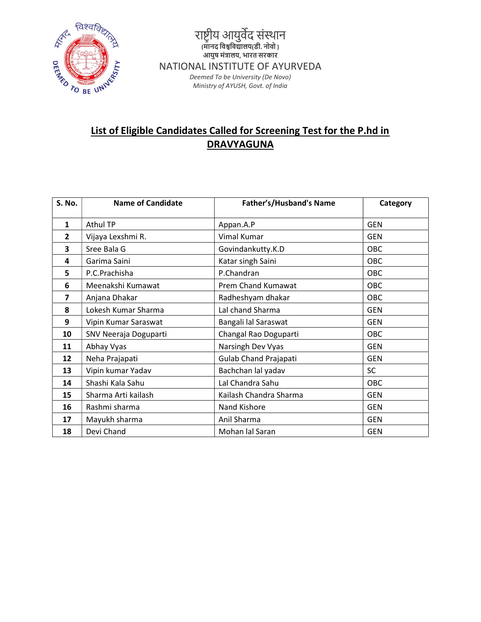

## List of Eligible Candidates Called for Screening Test for the P.hd in **DRAVYAGUNA**

| S. No.                  | <b>Name of Candidate</b> | <b>Father's/Husband's Name</b> | Category   |
|-------------------------|--------------------------|--------------------------------|------------|
| $\mathbf{1}$            | Athul TP                 | Appan.A.P                      | <b>GEN</b> |
| $\overline{2}$          | Vijaya Lexshmi R.        | Vimal Kumar                    | <b>GEN</b> |
| 3                       | Sree Bala G              | Govindankutty.K.D              | OBC        |
| 4                       | Garima Saini             | Katar singh Saini              | OBC        |
| 5                       | P.C.Prachisha            | P.Chandran                     | OBC        |
| 6                       | Meenakshi Kumawat        | Prem Chand Kumawat             | OBC        |
| $\overline{\mathbf{z}}$ | Anjana Dhakar            | Radheshyam dhakar              | OBC        |
| 8                       | Lokesh Kumar Sharma      | Lal chand Sharma               | <b>GEN</b> |
| 9                       | Vipin Kumar Saraswat     | Bangali lal Saraswat           | <b>GEN</b> |
| 10                      | SNV Neeraja Doguparti    | Changal Rao Doguparti          | OBC        |
| 11                      | Abhay Vyas               | Narsingh Dev Vyas              | <b>GEN</b> |
| 12                      | Neha Prajapati           | <b>Gulab Chand Prajapati</b>   | <b>GEN</b> |
| 13                      | Vipin kumar Yadav        | Bachchan lal yadav             | <b>SC</b>  |
| 14                      | Shashi Kala Sahu         | Lal Chandra Sahu               | OBC        |
| 15                      | Sharma Arti kailash      | Kailash Chandra Sharma         | <b>GEN</b> |
| 16                      | Rashmi sharma            | Nand Kishore                   | <b>GEN</b> |
| 17                      | Mayukh sharma            | Anil Sharma                    | <b>GEN</b> |
| 18                      | Devi Chand               | Mohan lal Saran                | <b>GEN</b> |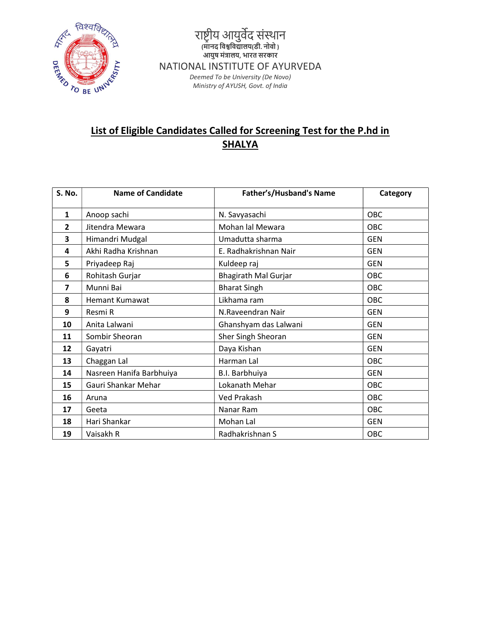

# List of Eligible Candidates Called for Screening Test for the P.hd in **SHALYA**

| S. No.         | <b>Name of Candidate</b> | Father's/Husband's Name     | Category   |
|----------------|--------------------------|-----------------------------|------------|
| $\mathbf{1}$   | Anoop sachi              | N. Savyasachi               | OBC        |
| $\overline{2}$ | Jitendra Mewara          | Mohan lal Mewara            | OBC        |
| 3              | Himandri Mudgal          | Umadutta sharma             | <b>GEN</b> |
| 4              | Akhi Radha Krishnan      | E. Radhakrishnan Nair       | <b>GEN</b> |
| 5              | Priyadeep Raj            | Kuldeep raj                 | <b>GEN</b> |
| 6              | Rohitash Gurjar          | <b>Bhagirath Mal Gurjar</b> | OBC        |
| 7              | Munni Bai                | <b>Bharat Singh</b>         | OBC        |
| 8              | <b>Hemant Kumawat</b>    | Likhama ram                 | OBC        |
| 9              | Resmi R                  | N.Raveendran Nair           | <b>GEN</b> |
| 10             | Anita Lalwani            | Ghanshyam das Lalwani       | <b>GEN</b> |
| 11             | Sombir Sheoran           | Sher Singh Sheoran          | <b>GEN</b> |
| 12             | Gayatri                  | Daya Kishan                 | <b>GEN</b> |
| 13             | Chaggan Lal              | Harman Lal                  | <b>OBC</b> |
| 14             | Nasreen Hanifa Barbhuiya | B.I. Barbhuiya              | <b>GEN</b> |
| 15             | Gauri Shankar Mehar      | Lokanath Mehar              | OBC        |
| 16             | Aruna                    | Ved Prakash                 | <b>OBC</b> |
| 17             | Geeta                    | Nanar Ram                   | <b>OBC</b> |
| 18             | Hari Shankar             | Mohan Lal                   | <b>GEN</b> |
| 19             | Vaisakh R                | Radhakrishnan S             | OBC        |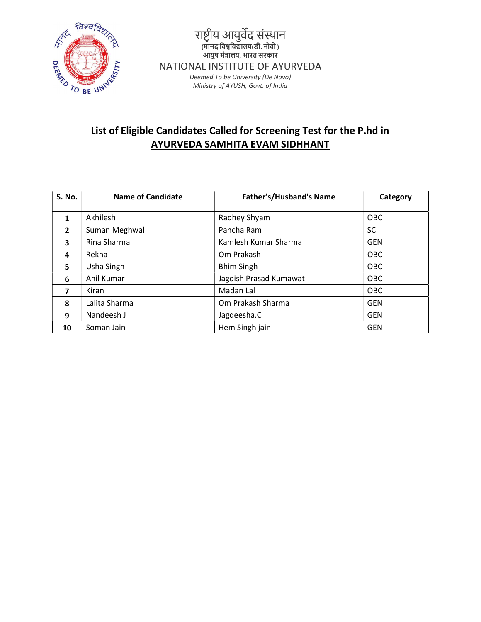

#### List of Eligible Candidates Called for Screening Test for the P.hd in AYURVEDA SAMHITA EVAM SIDHHANT

| <b>S. No.</b>           | <b>Name of Candidate</b> | <b>Father's/Husband's Name</b> | Category   |
|-------------------------|--------------------------|--------------------------------|------------|
| 1                       | Akhilesh                 | Radhey Shyam                   | OBC        |
| $\overline{2}$          | Suman Meghwal            | Pancha Ram                     | SC         |
| $\overline{\mathbf{3}}$ | Rina Sharma              | Kamlesh Kumar Sharma           | <b>GEN</b> |
| 4                       | Rekha                    | Om Prakash                     | <b>OBC</b> |
| 5.                      | Usha Singh               | <b>Bhim Singh</b>              | OBC        |
| 6                       | Anil Kumar               | Jagdish Prasad Kumawat         | OBC        |
| 7                       | Kiran                    | Madan Lal                      | OBC        |
| 8                       | Lalita Sharma            | Om Prakash Sharma              | <b>GEN</b> |
| 9                       | Nandeesh J               | Jagdeesha.C                    | <b>GEN</b> |
| 10                      | Soman Jain               | Hem Singh jain                 | <b>GEN</b> |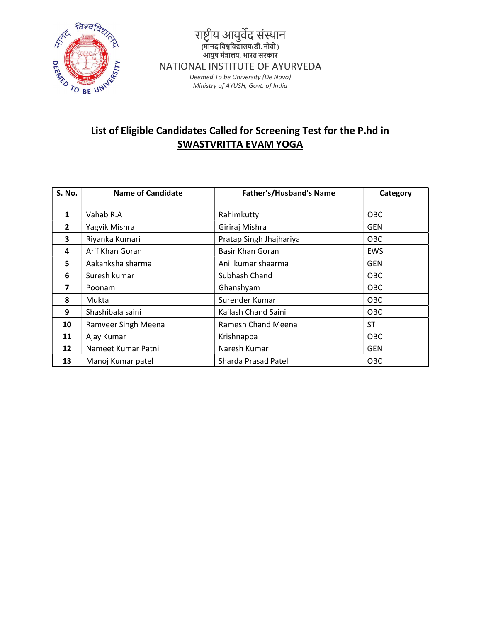

## List of Eligible Candidates Called for Screening Test for the P.hd in SWASTVRITTA EVAM YOGA

| <b>S. No.</b>  | <b>Name of Candidate</b> | Father's/Husband's Name | Category   |
|----------------|--------------------------|-------------------------|------------|
| 1              | Vahab R.A                | Rahimkutty              | <b>OBC</b> |
| $\overline{2}$ | Yagvik Mishra            | Giriraj Mishra          | <b>GEN</b> |
| 3              | Riyanka Kumari           | Pratap Singh Jhajhariya | <b>OBC</b> |
| 4              | Arif Khan Goran          | Basir Khan Goran        | <b>EWS</b> |
| 5              | Aakanksha sharma         | Anil kumar shaarma      | <b>GEN</b> |
| 6              | Suresh kumar             | Subhash Chand           | <b>OBC</b> |
| 7              | Poonam                   | Ghanshyam               | <b>OBC</b> |
| 8              | Mukta                    | Surender Kumar          | <b>OBC</b> |
| 9              | Shashibala saini         | Kailash Chand Saini     | <b>OBC</b> |
| 10             | Ramveer Singh Meena      | Ramesh Chand Meena      | ST         |
| 11             | Ajay Kumar               | Krishnappa              | OBC        |
| 12             | Nameet Kumar Patni       | Naresh Kumar            | <b>GEN</b> |
| 13             | Manoj Kumar patel        | Sharda Prasad Patel     | OBC        |